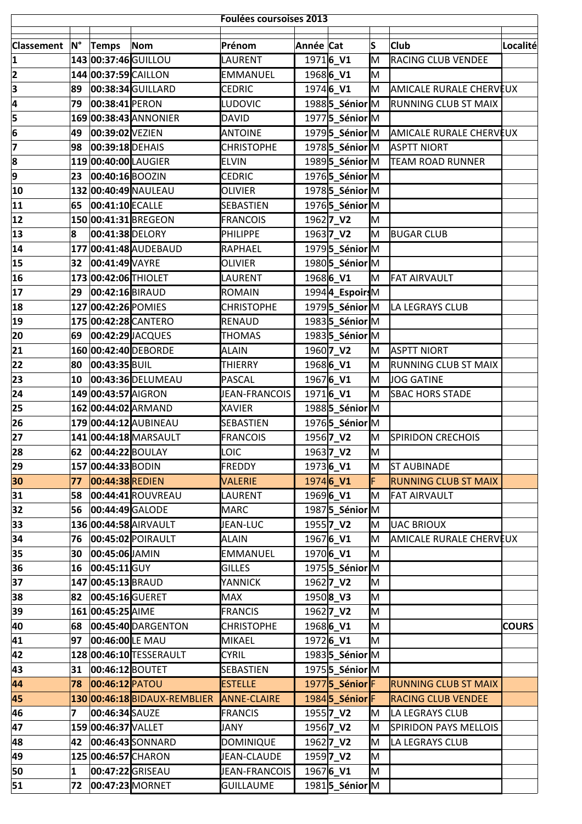|                   | <b>Foulées coursoises 2013</b> |                      |                              |                    |           |                                    |     |                                |              |
|-------------------|--------------------------------|----------------------|------------------------------|--------------------|-----------|------------------------------------|-----|--------------------------------|--------------|
|                   |                                |                      |                              |                    |           |                                    |     |                                |              |
| <b>Classement</b> | <b>N°</b>                      | Temps                | Nom                          | Prénom             | Année Cat |                                    | ls  | <b>Club</b>                    | Localité     |
| 1                 |                                | 143 00:37:46 GUILLOU |                              | LAURENT            |           | 19716_V1                           | M   | <b>RACING CLUB VENDEE</b>      |              |
| 2                 |                                | 144 00:37:59 CAILLON |                              | <b>EMMANUEL</b>    |           | 1968 <b>6_V1</b>                   | lм  |                                |              |
| 3                 | 89                             |                      | 00:38:34 GUILLARD            | <b>CEDRIC</b>      |           | 1974 <b>6_V1</b>                   | M   | <b>AMICALE RURALE CHERVEUX</b> |              |
| 4                 | 79                             | 00:38:41 PERON       |                              | <b>LUDOVIC</b>     |           | 1988 <b>5_Sénior</b> M             |     | <b>RUNNING CLUB ST MAIX</b>    |              |
| 5                 |                                |                      | 169 00:38:43 ANNONIER        | <b>DAVID</b>       |           | 19775 Sénior M                     |     |                                |              |
| 6                 | 49                             | 00:39:02 VEZIEN      |                              | <b>ANTOINE</b>     |           | 1979 <b>5_Sénior</b> M             |     | <b>AMICALE RURALE CHERVEUX</b> |              |
| 7                 | 98                             | 00:39:18 DEHAIS      |                              | <b>CHRISTOPHE</b>  |           | 1978 <b>5_Sénior</b> M             |     | <b>ASPTT NIORT</b>             |              |
| 8                 |                                | 119 00:40:00 LAUGIER |                              | <b>ELVIN</b>       |           | 1989 <b>5_Sénior</b> M             |     | <b>TEAM ROAD RUNNER</b>        |              |
| 9                 | 23                             | 00:40:16 BOOZIN      |                              | <b>CEDRIC</b>      |           | 19765 Sénior M                     |     |                                |              |
| 10                |                                |                      | 132 00:40:49 NAULEAU         | <b>OLIVIER</b>     |           | 19785_Sénior <sub>M</sub>          |     |                                |              |
| 11                | 65                             | 00:41:10 ECALLE      |                              | <b>SEBASTIEN</b>   |           | 19765 Sénior M                     |     |                                |              |
| 12                |                                |                      | 150 00:41:31 BREGEON         | <b>FRANCOIS</b>    |           | 1962 <b>7_V2</b>                   | IМ  |                                |              |
| 13                | 8                              | 00:41:38 DELORY      |                              | <b>PHILIPPE</b>    |           | 1963 7_V2                          | lм  | <b>BUGAR CLUB</b>              |              |
| 14                |                                |                      | 177 00:41:48 AUDEBAUD        | <b>RAPHAEL</b>     |           | 19795 Sénior M                     |     |                                |              |
| 15                | 32                             | 00:41:49 VAYRE       |                              | <b>OLIVIER</b>     |           | 1980 5_Sénior M                    |     |                                |              |
| 16                |                                | 173 00:42:06 THIOLET |                              | LAURENT            |           | 1968 <b>6_V1</b>                   | M   | <b>FAT AIRVAULT</b>            |              |
| 17                | 29                             | 00:42:16BIRAUD       |                              | ROMAIN             |           | 19944_EspoirsM                     |     |                                |              |
| 18                |                                | 127 00:42:26 POMIES  |                              | <b>CHRISTOPHE</b>  |           | 19795 Sénior <sub>M</sub>          |     | LA LEGRAYS CLUB                |              |
| 19                |                                |                      | 175 00:42:28 CANTERO         | <b>RENAUD</b>      |           | 19835_SéniorM                      |     |                                |              |
| 20                | 69                             |                      | 00:42:29 JACQUES             | <b>THOMAS</b>      |           | 1983 <b>5_Sénior</b> M             |     |                                |              |
| 21                |                                |                      | 160 00:42:40 DEBORDE         | <b>ALAIN</b>       |           | 1960 <b>7_V2</b>                   | lм  | <b>ASPTT NIORT</b>             |              |
| 22                | 80                             | 00:43:35 BUIL        |                              | THIERRY            |           | 1968 <b>6_V1</b>                   | lм  | <b>RUNNING CLUB ST MAIX</b>    |              |
| 23                | 10                             |                      | 00:43:36 DELUMEAU            | PASCAL             |           | 19676_V1                           | lм  | <b>JOG GATINE</b>              |              |
| 24                |                                | 149 00:43:57 AIGRON  |                              | JEAN-FRANCOIS      |           | 19716_V1                           | lм  | <b>SBAC HORS STADE</b>         |              |
| 25                |                                |                      | 162 00:44:02 ARMAND          | <b>XAVIER</b>      |           | 1988 <b>5 Sénior</b> M             |     |                                |              |
| 26                |                                |                      | 179 00:44:12 AUBINEAU        | <b>SEBASTIEN</b>   |           | 19765 Sénior M                     |     |                                |              |
| 27                |                                |                      | 141 00:44:18 MARSAULT        | <b>FRANCOIS</b>    |           | 1956 <b>7_V2</b>                   | lм  | <b>SPIRIDON CRECHOIS</b>       |              |
| 28                |                                | 62 00:44:22 BOULAY   |                              | LOIC               |           | 1963 <b>7_V2</b>                   | M   |                                |              |
| 29                |                                | 157 00:44:33 BODIN   |                              | <b>FREDDY</b>      |           | 1973 <b>6_V1</b>                   | IM. | <b>ST AUBINADE</b>             |              |
| 30                | 77                             | 00:44:38 REDIEN      |                              | <b>VALERIE</b>     |           | $1974$ 6 V1                        | F   | <b>RUNNING CLUB ST MAIX</b>    |              |
| 31                | 58                             |                      | 00:44:41 ROUVREAU            | LAURENT            |           | 19696 V1                           | IM. | <b>FAT AIRVAULT</b>            |              |
| 32                | 56                             | 00:44:49 GALODE      |                              | <b>MARC</b>        |           | 19875 Sénior M                     |     |                                |              |
| 33                |                                |                      | 136 00:44:58 AIRVAULT        | JEAN-LUC           |           | 1955 <b>7 V2</b>                   | IM. | <b>UAC BRIOUX</b>              |              |
| 34                | 76                             |                      | 00:45:02 POIRAULT            | <b>ALAIN</b>       |           | 19676_V1                           | M   | AMICALE RURALE CHERVEUX        |              |
| 35                | 30                             | 00:45:06 JAMIN       |                              | <b>EMMANUEL</b>    |           | 1970 <b>6_V1</b>                   | M   |                                |              |
| 36                | 16                             | 00:45:11 GUY         |                              | <b>GILLES</b>      |           | 1975 <b>5</b> _Sénior <sub>M</sub> |     |                                |              |
| 37                |                                | 147 00:45:13 BRAUD   |                              | YANNICK            |           | 1962 <b>7_V2</b>                   | M   |                                |              |
| 38                | 82                             | 00:45:16GUERET       |                              | MAX                |           | $1950$  8_V3                       | M   |                                |              |
| 39                |                                | 161 00:45:25 AIME    |                              | <b>FRANCIS</b>     |           | 1962 <b>7_V2</b>                   | M   |                                |              |
| 40                | 68                             |                      | 00:45:40 DARGENTON           | <b>CHRISTOPHE</b>  |           | 1968 <b>6_V1</b>                   | lм  |                                | <b>COURS</b> |
| 41                | 97                             | 00:46:00 LE MAU      |                              | MIKAEL             |           | 19726_V1                           | M   |                                |              |
| 42                |                                |                      | 128 00:46:10 TESSERAULT      | <b>CYRIL</b>       |           | 1983 <b>5 Sénior</b> M             |     |                                |              |
| 43                | 31                             | 00:46:12 BOUTET      |                              | <b>SEBASTIEN</b>   |           | 1975 <b>5 Sénior</b> M             |     |                                |              |
| 44                | 78                             | 00:46:12 PATOU       |                              | <b>ESTELLE</b>     |           | 1977 <b>5_Sénior</b> F             |     | <b>RUNNING CLUB ST MAIX</b>    |              |
| 45                |                                |                      | 130 00:46:18 BIDAUX-REMBLIER | <b>ANNE-CLAIRE</b> |           | 1984 5 Sénior F                    |     | <b>RACING CLUB VENDEE</b>      |              |
| 46                | 7                              | 00:46:34 SAUZE       |                              | <b>FRANCIS</b>     |           | 1955 <b>7 V2</b>                   | IM. | LA LEGRAYS CLUB                |              |
| 47                |                                | 159 00:46:37 VALLET  |                              | JANY               |           | 1956 <b>7_V2</b>                   | M   | <b>SPIRIDON PAYS MELLOIS</b>   |              |
| 48                | 42                             |                      | 00:46:43 SONNARD             | <b>DOMINIQUE</b>   |           | 1962 <b>7_V2</b>                   | M   | LA LEGRAYS CLUB                |              |
| 49                |                                | 125 00:46:57 CHARON  |                              | JEAN-CLAUDE        |           | 1959 <b>7_V2</b>                   | M   |                                |              |
| 50                | $\bf{1}$                       |                      | 00:47:22 GRISEAU             | JEAN-FRANCOIS      |           | 19676_V1                           | M   |                                |              |
| 51                | 72                             |                      | 00:47:23 MORNET              | <b>GUILLAUME</b>   |           | 1981 <b>5_Sénior</b> M             |     |                                |              |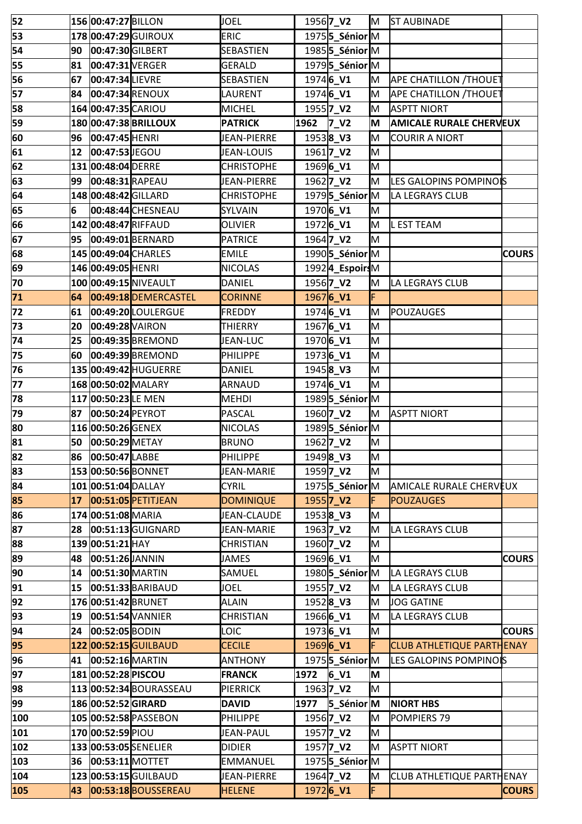| 52       |              | 156 00:47:27 BILLON  |                         | <b>JOEL</b>                     |                  | 1956 <b>7_V2</b>                    | M      | <b>ST AUBINADE</b>               |              |
|----------|--------------|----------------------|-------------------------|---------------------------------|------------------|-------------------------------------|--------|----------------------------------|--------------|
| 53       |              |                      | 178 00:47:29 GUIROUX    | <b>ERIC</b>                     |                  | 1975 <b>5</b> _Sénior <sup>M</sup>  |        |                                  |              |
| 54       | 90           | 00:47:30 GILBERT     |                         | SEBASTIEN                       |                  | 1985 <b>5</b> _Sénior <sup>M</sup>  |        |                                  |              |
| 55       | 81           | 00:47:31 VERGER      |                         | <b>GERALD</b>                   |                  | 19795 Sénior M                      |        |                                  |              |
| 56       | 67           | 00:47:34 LIEVRE      |                         | <b>SEBASTIEN</b>                |                  | 1974 <b>6_V1</b>                    | lм     | <b>APE CHATILLON /THOUET</b>     |              |
| 57       | 84           | 00:47:34 RENOUX      |                         | LAURENT                         |                  | 1974 <b>6_V1</b>                    | M      | <b>APE CHATILLON /THOUET</b>     |              |
| 58       |              | 164 00:47:35 CARIOU  |                         | <b>MICHEL</b>                   |                  | 1955 <b>7_V2</b>                    | M      | <b>ASPTT NIORT</b>               |              |
| 59       |              |                      | 180 00:47:38 BRILLOUX   | <b>PATRICK</b>                  | 1962             | $Z$ V <sub>2</sub>                  | M      | <b>AMICALE RURALE CHERVEUX</b>   |              |
| 60       | 96           | 00:47:45 HENRI       |                         | JEAN-PIERRE                     |                  | 19538_V3                            | lм     | <b>COURIR A NIORT</b>            |              |
| 61       | $ 12\rangle$ | 00:47:53 JEGOU       |                         | JEAN-LOUIS                      |                  | 1961 <b>7_V2</b>                    | lм     |                                  |              |
| 62       |              | 131 00:48:04 DERRE   |                         | <b>CHRISTOPHE</b>               |                  | 1969 <b>6_V1</b>                    | lм     |                                  |              |
| 63       | 99           | 00:48:31 RAPEAU      |                         | JEAN-PIERRE                     |                  | 1962 <b>7_V2</b>                    | Iм     | LES GALOPINS POMPINOIS           |              |
| 64       |              | 148 00:48:42 GILLARD |                         | <b>CHRISTOPHE</b>               |                  | 19795_SéniorM                       |        | LA LEGRAYS CLUB                  |              |
| 65       | 6            |                      | 00:48:44 CHESNEAU       | SYLVAIN                         |                  | 1970 <b>6 V1</b>                    | lм     |                                  |              |
| 66       |              | 142 00:48:47 RIFFAUD |                         | <b>OLIVIER</b>                  |                  | 1972 <b>6_V1</b>                    | lм     | <b>LEST TEAM</b>                 |              |
| 67       | 95           |                      | 00:49:01 BERNARD        | <b>PATRICE</b>                  |                  | 1964 <b>7_V2</b>                    | lм     |                                  |              |
| 68       |              |                      | 145 00:49:04 CHARLES    | <b>EMILE</b>                    |                  | 19905_SéniorM                       |        |                                  | <b>COURS</b> |
| 69       |              | 146 00:49:05 HENRI   |                         | <b>NICOLAS</b>                  |                  | 19924_EspoirsM                      |        |                                  |              |
| 70       |              |                      | 100 00:49:15 NIVEAULT   | <b>DANIEL</b>                   |                  | 1956 <b>7_V2</b>                    | lм     | LA LEGRAYS CLUB                  |              |
| 71       | 64           |                      | 00:49:18 DEMERCASTEL    | <b>CORINNE</b>                  |                  | 19676_V1                            | F      |                                  |              |
| 72       | 61           |                      | 00:49:20 LOULERGUE      | FREDDY                          |                  | 1974 <b>6_V1</b>                    | M      | POUZAUGES                        |              |
| 73       | 20           | 00:49:28 VAIRON      |                         | THIERRY                         |                  | 19676_V1                            | M      |                                  |              |
| 74       | 25           |                      | 00:49:35 BREMOND        | <b>JEAN-LUC</b>                 |                  | 1970 <b>6_V1</b>                    | M      |                                  |              |
| 75       | 60           |                      | 00:49:39 BREMOND        | <b>PHILIPPE</b>                 | 19736_V1         |                                     | lм     |                                  |              |
| 76       |              |                      | 135 00:49:42 HUGUERRE   | <b>DANIEL</b>                   |                  | 1945 <b>8_V3</b>                    | lм     |                                  |              |
| 77       |              | 168 00:50:02 MALARY  |                         | ARNAUD                          | 19746_V1         |                                     | lм     |                                  |              |
| 78       |              | 117 00:50:23 LE MEN  |                         | <b>MEHDI</b>                    |                  | 19895_SéniorM                       |        |                                  |              |
| 79       | 87           | 00:50:24 PEYROT      |                         | <b>PASCAL</b>                   |                  | 1960 <b>7_V2</b>                    | lм     | <b>ASPTT NIORT</b>               |              |
| 80       |              | 116 00:50:26 GENEX   |                         | <b>NICOLAS</b>                  |                  | 19895 Sénior M                      |        |                                  |              |
| 81       | 50           | 00:50:29 METAY       |                         | <b>BRUNO</b>                    |                  | 1962 <b>7_V2</b>                    | lм     |                                  |              |
| 82       | 86           | $ 00:50:47 $ LABBE   |                         | <b>PHILIPPE</b>                 |                  | 19498 V3                            | ΙM     |                                  |              |
| 83       |              | 153 00:50:56 BONNET  |                         | JEAN-MARIE                      |                  | 1959 <b>7_V2</b>                    | M      |                                  |              |
| 84       |              | 101 00:51:04 DALLAY  |                         | <b>CYRIL</b>                    |                  | 1975 <b>5</b> _Sénior <sup>IM</sup> |        | AMICALE RURALE CHERVEUX          |              |
| 85       | 17           |                      | 00:51:05 PETITJEAN      | <b>DOMINIQUE</b>                |                  | 1955 <b>7_V2</b>                    |        | <b>POUZAUGES</b>                 |              |
| 86       |              | 174 00:51:08 MARIA   |                         | JEAN-CLAUDE                     |                  | 19538 V3                            | lм     |                                  |              |
| 87       | 28           |                      | 00:51:13 GUIGNARD       | JEAN-MARIE                      |                  | 1963 <b>7_V2</b>                    | M      | LA LEGRAYS CLUB                  |              |
| 88       |              | 139 00:51:21 HAY     |                         | <b>CHRISTIAN</b>                |                  | 1960 <b>7_V2</b>                    | M      |                                  |              |
| 89       | 48           | 00:51:26JANNIN       |                         | <b>JAMES</b>                    |                  | 1969 <b>6_V1</b>                    | lм     |                                  | <b>COURS</b> |
| 90       | 14           | 00:51:30 MARTIN      |                         | SAMUEL                          |                  | 1980 5 Sénior M                     |        | LA LEGRAYS CLUB                  |              |
| 91       | 15           |                      | 00:51:33 BARIBAUD       | <b>JOEL</b>                     |                  | 1955 <b>7_V2</b>                    | M      | LA LEGRAYS CLUB                  |              |
| 92       |              | 176 00:51:42 BRUNET  |                         | <b>ALAIN</b>                    |                  | 19528_V3                            | M      | <b>JOG GATINE</b>                |              |
| 93       | 19           |                      | 00:51:54 VANNIER        | <b>CHRISTIAN</b>                |                  | 1966 <b>6_V1</b>                    | M      | LA LEGRAYS CLUB                  |              |
| 94<br>95 | 24           | 00:52:05 BODIN       | 122 00:52:15 GUILBAUD   | <b>LOIC</b>                     |                  | 1973 <b>6_V1</b>                    | M<br>F | <b>CLUB ATHLETIQUE PARTHENAY</b> | <b>COURS</b> |
| 96       | 41           | 00:52:16 MARTIN      |                         | <b>CECILE</b><br><b>ANTHONY</b> | 1969 <b>6_V1</b> | 1975 <b>5</b> _Sénior <sup>M</sup>  |        | LES GALOPINS POMPINOIS           |              |
| 97       |              | 181 00:52:28 PISCOU  |                         | <b>FRANCK</b>                   | 1972             | 6V1                                 | M      |                                  |              |
| 98       |              |                      | 113 00:52:34 BOURASSEAU | <b>PIERRICK</b>                 |                  | 1963 <b>7_V2</b>                    | lм     |                                  |              |
| 99       |              | 186 00:52:52 GIRARD  |                         | <b>DAVID</b>                    | 1977             | 5_Sénior M                          |        | <b>NIORT HBS</b>                 |              |
| 100      |              |                      | 105 00:52:58 PASSEBON   | PHILIPPE                        |                  | 1956 <b>7_V2</b>                    | IМ     | POMPIERS 79                      |              |
| 101      |              | 170 00:52:59 PIOU    |                         | JEAN-PAUL                       |                  | 1957 <b>7_V2</b>                    | lм     |                                  |              |
| 102      |              |                      | 133 00:53:05 SENELIER   | <b>DIDIER</b>                   |                  | 1957 <b>7_V2</b>                    | M      | <b>ASPTT NIORT</b>               |              |
| 103      | 36           | 00:53:11 MOTTET      |                         | <b>EMMANUEL</b>                 |                  | 1975 <b>5</b> _Sénior <sup>M</sup>  |        |                                  |              |
| 104      |              |                      | 123 00:53:15 GUILBAUD   | JEAN-PIERRE                     |                  | 1964 <b>7_V2</b>                    | IМ     | <b>CLUB ATHLETIQUE PARTHENAY</b> |              |
| 105      | 43           |                      | 00:53:18 BOUSSEREAU     | <b>HELENE</b>                   |                  | 19726_V1                            | F      |                                  | <b>COURS</b> |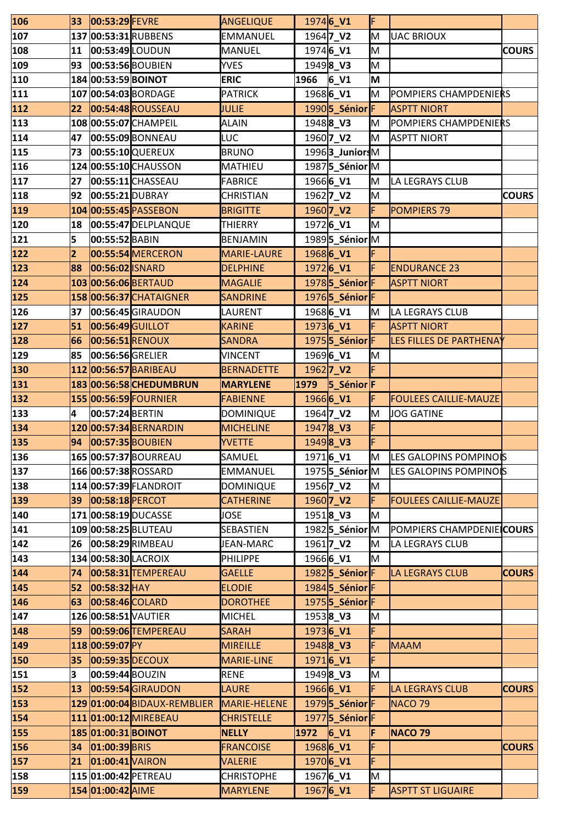| 106        | 33 | 00:53:29 FEVRE       |                                                  | ANGELIQUE                            |      | 19746 V1                              | IF  |                                   |              |
|------------|----|----------------------|--------------------------------------------------|--------------------------------------|------|---------------------------------------|-----|-----------------------------------|--------------|
| 107        |    |                      | 137 00:53:31 RUBBENS                             | EMMANUEL                             |      | 1964 <b>7 V2</b>                      | lм  | <b>UAC BRIOUX</b>                 |              |
| 108        | 11 | 00:53:49 LOUDUN      |                                                  | MANUEL                               |      | 19746_V1                              | lм  |                                   | <b>COURS</b> |
| 109        | 93 |                      | 00:53:56 BOUBIEN                                 | <b>YVES</b>                          |      | 19498 V3                              | lм  |                                   |              |
| 110        |    | 184 00:53:59 BOINOT  |                                                  | <b>ERIC</b>                          | 1966 | 6V1                                   | M   |                                   |              |
| 111        |    |                      | 107 00:54:03 BORDAGE                             | <b>PATRICK</b>                       |      | 1968 <b>6_V1</b>                      | lм  | POMPIERS CHAMPDENIERS             |              |
| 112        | 22 |                      | 00:54:48 ROUSSEAU                                | <b>JULIE</b>                         |      | 1990 5_Sénior F                       |     | <b>ASPTT NIORT</b>                |              |
| 113        |    |                      | 108 00:55:07 CHAMPEIL                            | <b>ALAIN</b>                         |      | 19488 V3                              | lм  | POMPIERS CHAMPDENIERS             |              |
| 114        | 47 |                      | 00:55:09 BONNEAU                                 | LUC                                  |      | 1960 <b>7_V2</b>                      | lм  | <b>ASPTT NIORT</b>                |              |
| 115        | 73 |                      | 00:55:10 QUEREUX                                 | <b>BRUNO</b>                         |      | 19963_JuniorsM                        |     |                                   |              |
| 116        |    |                      | 124 00:55:10 CHAUSSON                            | <b>MATHIEU</b>                       |      | 1987 5_Sénior M                       |     |                                   |              |
| 117        | 27 |                      | 00:55:11 CHASSEAU                                | <b>FABRICE</b>                       |      | 1966 <b>6_V1</b>                      | lм  | LA LEGRAYS CLUB                   |              |
| 118        | 92 | 00:55:21 DUBRAY      |                                                  | <b>CHRISTIAN</b>                     |      | 1962 <b>7_V2</b>                      | lм  |                                   | <b>COURS</b> |
| 119        |    |                      | 104 00:55:45 PASSEBON                            | <b>BRIGITTE</b>                      |      | 1960 <b>7_V2</b>                      | F   | <b>POMPIERS 79</b>                |              |
| 120        | 18 |                      | 00:55:47 DELPLANQUE                              | THIERRY                              |      | 19726_V1                              | lм  |                                   |              |
| 121        | 5  | 00:55:52 BABIN       |                                                  | <b>BENJAMIN</b>                      |      | 19895 Sénior M                        |     |                                   |              |
| 122        | 2  |                      | 00:55:54 MERCERON                                | MARIE-LAURE                          |      | 19686_V1                              |     |                                   |              |
| 123        | 88 | 00:56:02 ISNARD      |                                                  | <b>DELPHINE</b>                      |      | $1972$ 6 V1                           |     | <b>ENDURANCE 23</b>               |              |
| 124        |    |                      | 103 00:56:06 BERTAUD                             | <b>MAGALIE</b>                       |      | 19785_SéniorF                         |     | <b>ASPTT NIORT</b>                |              |
| 125        |    |                      | 158 00:56:37 CHATAIGNER                          | <b>SANDRINE</b>                      |      | 19765 SéniorF                         |     |                                   |              |
| 126        | 37 |                      | 00:56:45 GIRAUDON                                | LAURENT                              |      | 1968 <b>6_V1</b>                      | Iм  | LA LEGRAYS CLUB                   |              |
| 127        | 51 | 00:56:49 GUILLOT     |                                                  | <b>KARINE</b>                        |      | 19736_V1                              |     | <b>ASPTT NIORT</b>                |              |
| 128        | 66 | 00:56:51 RENOUX      |                                                  | <b>SANDRA</b>                        |      | 1975 <b>5</b> _SéniorF                |     | LES FILLES DE PARTHENAY           |              |
| 129        | 85 | 00:56:56 GRELIER     |                                                  | <b>VINCENT</b>                       |      | 1969 <b>6_V1</b>                      | M   |                                   |              |
| 130        |    |                      | 112 00:56:57 BARIBEAU                            | <b>BERNADETTE</b>                    |      | 1962 <b>7_V2</b>                      | F   |                                   |              |
| 131        |    |                      | 183 00:56:58 CHEDUMBRUN<br>155 00:56:59 FOURNIER | <b>MARYLENE</b>                      | 1979 | $5$ _Sénior $ F $<br>1966 <b>6_V1</b> |     | <b>FOULEES CAILLIE-MAUZE</b>      |              |
| 132        | 4  | 00:57:24 BERTIN      |                                                  | <b>FABIENNE</b>                      |      |                                       | lм  |                                   |              |
| 133<br>134 |    |                      | 120 00:57:34 BERNARDIN                           | <b>DOMINIQUE</b><br><b>MICHELINE</b> |      | 1964 <b>7_V2</b><br>19478_V3          | F   | <b>JOG GATINE</b>                 |              |
| 135        | 94 |                      | 00:57:35 BOUBIEN                                 | <b>YVETTE</b>                        |      | 19498_V3                              | F   |                                   |              |
| 136        |    |                      | 165 00:57:37 BOURREAU                            | SAMUEL                               |      | 1971 <b>6_V1</b>                      | IM. | LES GALOPINS POMPINOIS            |              |
| 137        |    |                      | 166 00:57:38 ROSSARD                             | <b>EMMANUEL</b>                      |      | 1975 <b>5</b> _Sénior <sup>M</sup>    |     | LES GALOPINS POMPINOIS            |              |
| 138        |    |                      | 114 00:57:39 FLANDROIT                           | <b>DOMINIQUE</b>                     |      | 1956 <b>7_V2</b>                      | Iм  |                                   |              |
| 139        | 39 | 00:58:18 PERCOT      |                                                  | <b>CATHERINE</b>                     |      | 1960 <b>7_V2</b>                      | F   | <b>FOULEES CAILLIE-MAUZE</b>      |              |
| 140        |    |                      | 171 00:58:19 DUCASSE                             | JOSE                                 |      | 19518_V3                              | lм  |                                   |              |
| 141        |    |                      | 109 00:58:25 BLUTEAU                             | <b>SEBASTIEN</b>                     |      | 1982 <b>5_Sénior</b> M                |     | POMPIERS CHAMPDENIE <b>ICOURS</b> |              |
| 142        | 26 |                      | 00:58:29 RIMBEAU                                 | JEAN-MARC                            |      | 1961 <b>7 V2</b>                      | Iм  | LA LEGRAYS CLUB                   |              |
| 143        |    | 134 00:58:30 LACROIX |                                                  | <b>PHILIPPE</b>                      |      | 19666 V1                              | lм  |                                   |              |
| 144        | 74 |                      | 00:58:31 TEMPEREAU                               | <b>GAELLE</b>                        |      | 19825 SéniorF                         |     | <b>LA LEGRAYS CLUB</b>            | <b>COURS</b> |
| 145        | 52 | 00:58:32 HAY         |                                                  | <b>ELODIE</b>                        |      | 1984 <b>5</b> _SéniorF                |     |                                   |              |
| 146        | 63 | 00:58:46 COLARD      |                                                  | <b>DOROTHEE</b>                      |      | 1975 <b>5 Sénior</b> F                |     |                                   |              |
| 147        |    | 126 00:58:51 VAUTIER |                                                  | MICHEL                               |      | 19538_V3                              | M   |                                   |              |
| 148        | 59 |                      | 00:59:06 TEMPEREAU                               | <b>SARAH</b>                         |      | $1973$ 6_V1                           |     |                                   |              |
| 149        |    | 118 00:59:07 PY      |                                                  | <b>MIREILLE</b>                      |      | 19488_V3                              |     | <b>MAAM</b>                       |              |
| 150        | 35 | 00:59:35 DECOUX      |                                                  | <b>MARIE-LINE</b>                    |      | $1971$ <sup>6</sup> _V1               |     |                                   |              |
| 151        | 3  | 00:59:44 BOUZIN      |                                                  | RENE                                 |      | 19498 V3                              | lм  |                                   |              |
| 152        | 13 |                      | 00:59:54 GIRAUDON                                | <b>LAURE</b>                         |      | 1966 <b>6_V1</b>                      |     | <b>LA LEGRAYS CLUB</b>            | <b>COURS</b> |
| 153        |    |                      | 129 01:00:04 BIDAUX-REMBLIER                     | MARIE-HELENE                         |      | 19795 SéniorF                         |     | <b>NACO 79</b>                    |              |
| 154        |    |                      | 111 01:00:12 MIREBEAU                            | <b>CHRISTELLE</b>                    |      | 19775 SéniorF                         |     |                                   |              |
| 155        |    | 185 01:00:31 BOINOT  |                                                  | <b>NELLY</b>                         | 1972 | 6V1                                   | F   | <b>NACO 79</b>                    |              |
| 156        | 34 | $ 01:00:39 $ BRIS    |                                                  | <b>FRANCOISE</b>                     |      | 1968 <b>6 V1</b>                      |     |                                   | <b>COURS</b> |
| 157        | 21 | 01:00:41 VAIRON      |                                                  | <b>VALERIE</b>                       |      | 1970 <b>6 V1</b>                      | F   |                                   |              |
| 158        |    |                      | 115 01:00:42 PETREAU                             | <b>CHRISTOPHE</b>                    |      | 19676_V1                              | M   |                                   |              |
| 159        |    | 154 01:00:42 AIME    |                                                  | <b>MARYLENE</b>                      |      | 19676_V1                              | F   | <b>ASPTT ST LIGUAIRE</b>          |              |